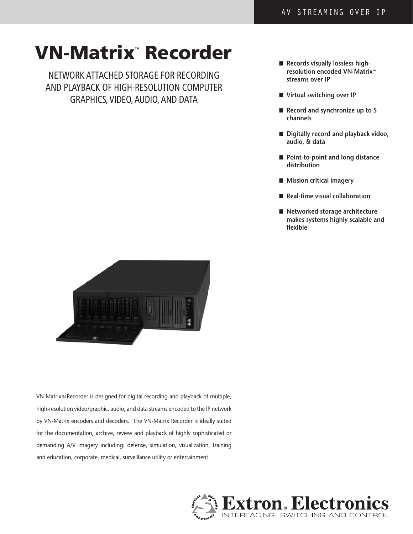# VN-Matrix**™** Recorder

Network AttAched StorAge for recordiNg ANd PlAybAck of high-reSolUtioN comPUter grAPhicS, Video, AUdio, ANd dAtA

- Records visually lossless high**resolution encoded VN-Matrix™ streams over IP**
- Virtual switching over IP
- Record and synchronize up to 5 **channels**
- Digitally record and playback video, **audio, & data**
- Point-to-point and long distance **distribution**
- Mission critical imagery
- **Real-time visual collaboration**
- Networked storage architecture makes systems highly scalable and **flexible**



VN-Matrix™ Recorder is designed for digital recording and playback of multiple, high-resolution video/graphic, audio, and data streams encoded to the IP network by VN-Matrix encoders and decoders. The VN-Matrix Recorder is ideally suited for the documentation, archive, review and playback of highly sophisticated or demanding A/V imagery including: defense, simulation, visualization, training and education, corporate, medical, surveillance utility or entertainment.